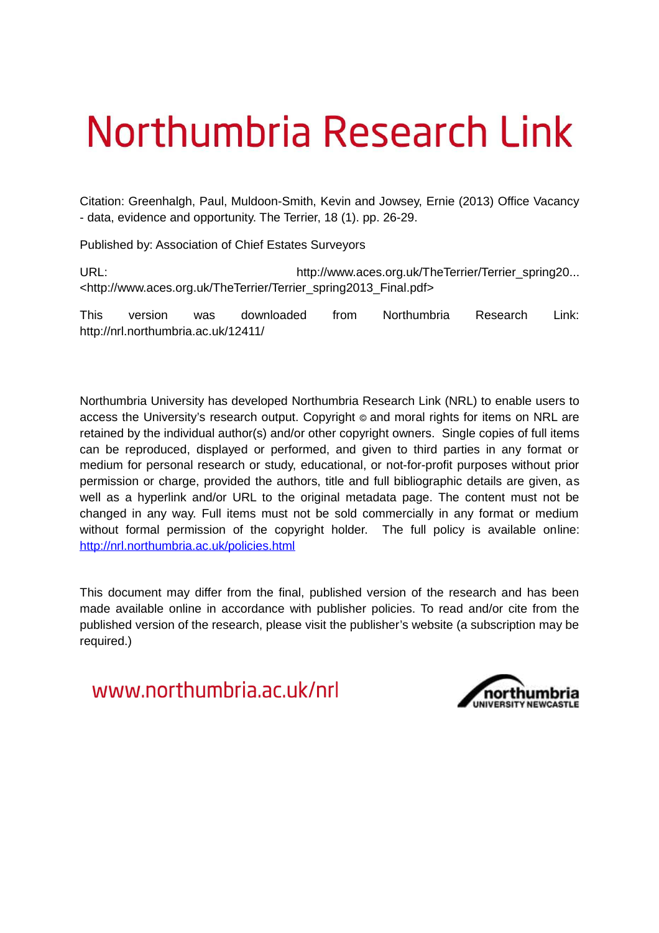# Northumbria Research Link

Citation: Greenhalgh, Paul, Muldoon-Smith, Kevin and Jowsey, Ernie (2013) Office Vacancy - data, evidence and opportunity. The Terrier, 18 (1). pp. 26-29.

Published by: Association of Chief Estates Surveyors

URL: URL: http://www.aces.org.uk/TheTerrier/Terrier\_spring20... <http://www.aces.org.uk/TheTerrier/Terrier\_spring2013\_Final.pdf>

This version was downloaded from Northumbria Research Link: http://nrl.northumbria.ac.uk/12411/

Northumbria University has developed Northumbria Research Link (NRL) to enable users to access the University's research output. Copyright  $\circ$  and moral rights for items on NRL are retained by the individual author(s) and/or other copyright owners. Single copies of full items can be reproduced, displayed or performed, and given to third parties in any format or medium for personal research or study, educational, or not-for-profit purposes without prior permission or charge, provided the authors, title and full bibliographic details are given, as well as a hyperlink and/or URL to the original metadata page. The content must not be changed in any way. Full items must not be sold commercially in any format or medium without formal permission of the copyright holder. The full policy is available online: <http://nrl.northumbria.ac.uk/policies.html>

This document may differ from the final, published version of the research and has been made available online in accordance with publisher policies. To read and/or cite from the published version of the research, please visit the publisher's website (a subscription may be required.)

www.northumbria.ac.uk/nrl

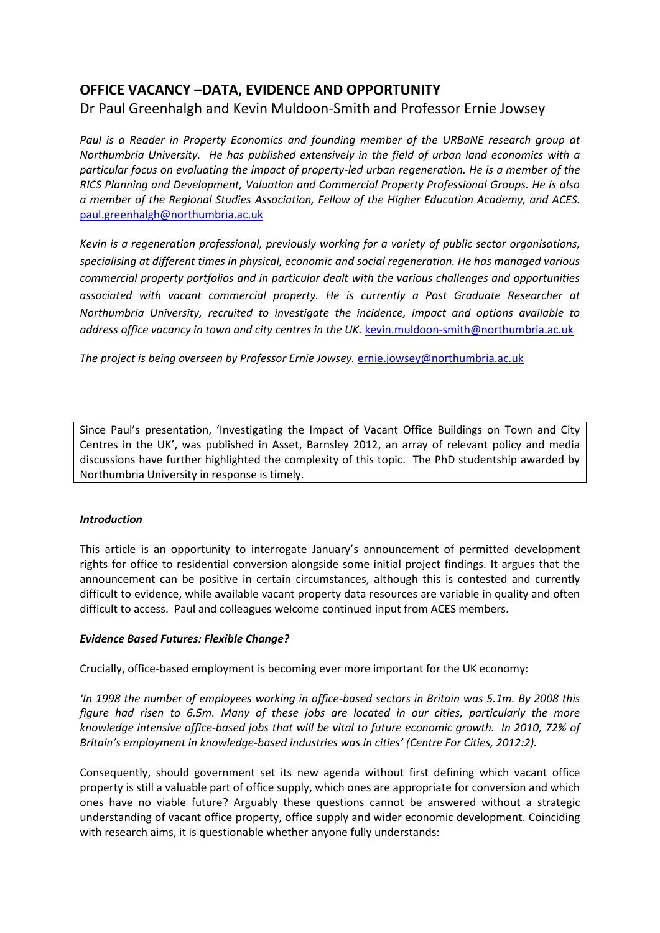# **OFFICE VACANCY –DATA, EVIDENCE AND OPPORTUNITY**

# Dr Paul Greenhalgh and Kevin Muldoon-Smith and Professor Ernie Jowsey

*Paul is a Reader in Property Economics and founding member of the URBaNE research group at Northumbria University. He has published extensively in the field of urban land economics with a particular focus on evaluating the impact of property-led urban regeneration. He is a member of the RICS Planning and Development, Valuation and Commercial Property Professional Groups. He is also a member of the Regional Studies Association, Fellow of the Higher Education Academy, and ACES.*  [paul.greenhalgh@northumbria.ac.uk](mailto:paul.greenhalgh@northumbria.ac.uk)

*Kevin is a regeneration professional, previously working for a variety of public sector organisations, specialising at different times in physical, economic and social regeneration. He has managed various commercial property portfolios and in particular dealt with the various challenges and opportunities associated with vacant commercial property. He is currently a Post Graduate Researcher at Northumbria University, recruited to investigate the incidence, impact and options available to address office vacancy in town and city centres in the UK.* [kevin.muldoon-smith@northumbria.ac.uk](mailto:kevin.muldoon-smith@northumbria.ac.uk)

*The project is being overseen by Professor Ernie Jowsey.* [ernie.jowsey@northumbria.ac.uk](mailto:ernie.jowsey@northumbria.ac.uk)

Since Paul's presentation, 'Investigating the Impact of Vacant Office Buildings on Town and City Centres in the UK', was published in Asset, Barnsley 2012, an array of relevant policy and media discussions have further highlighted the complexity of this topic. The PhD studentship awarded by Northumbria University in response is timely.

#### *Introduction*

This article is an opportunity to interrogate January's announcement of permitted development rights for office to residential conversion alongside some initial project findings. It argues that the announcement can be positive in certain circumstances, although this is contested and currently difficult to evidence, while available vacant property data resources are variable in quality and often difficult to access. Paul and colleagues welcome continued input from ACES members.

## *Evidence Based Futures: Flexible Change?*

Crucially, office-based employment is becoming ever more important for the UK economy:

'In 1998 the number of employees working in office-based sectors in Britain was 5.1m. By 2008 this *figure had risen to 6.5m. Many of these jobs are located in our cities, particularly the more knowledge intensive office-based jobs that will be vital to future economic growth. In 2010, 72% of Britain's employment in knowledge-based industries was in cities' (Centre For Cities, 2012:2).* 

Consequently, should government set its new agenda without first defining which vacant office property is still a valuable part of office supply, which ones are appropriate for conversion and which ones have no viable future? Arguably these questions cannot be answered without a strategic understanding of vacant office property, office supply and wider economic development. Coinciding with research aims, it is questionable whether anyone fully understands: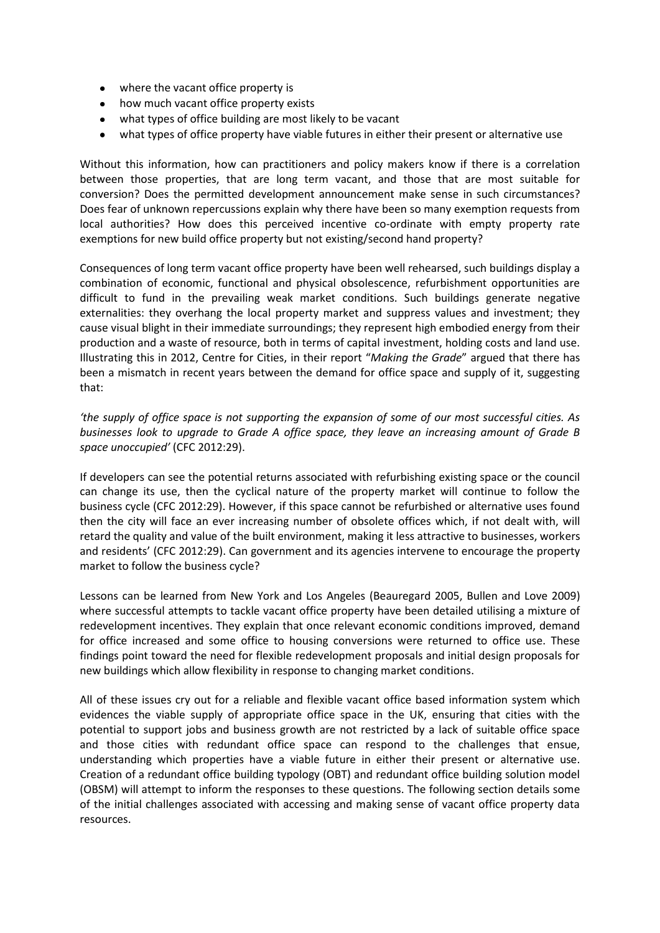- where the vacant office property is
- how much vacant office property exists
- what types of office building are most likely to be vacant
- what types of office property have viable futures in either their present or alternative use

Without this information, how can practitioners and policy makers know if there is a correlation between those properties, that are long term vacant, and those that are most suitable for conversion? Does the permitted development announcement make sense in such circumstances? Does fear of unknown repercussions explain why there have been so many exemption requests from local authorities? How does this perceived incentive co-ordinate with empty property rate exemptions for new build office property but not existing/second hand property?

Consequences of long term vacant office property have been well rehearsed, such buildings display a combination of economic, functional and physical obsolescence, refurbishment opportunities are difficult to fund in the prevailing weak market conditions. Such buildings generate negative externalities: they overhang the local property market and suppress values and investment; they cause visual blight in their immediate surroundings; they represent high embodied energy from their production and a waste of resource, both in terms of capital investment, holding costs and land use. Illustrating this in 2012, Centre for Cities, in their report "Making the Grade" argued that there has been a mismatch in recent years between the demand for office space and supply of it, suggesting that:

*͚the supply of office space is not supporting the expansion of some of our most successful cities. As businesses look to upgrade to Grade A office space, they leave an increasing amount of Grade B space unoccupied'* (CFC 2012:29).

If developers can see the potential returns associated with refurbishing existing space or the council can change its use, then the cyclical nature of the property market will continue to follow the business cycle (CFC 2012:29). However, if this space cannot be refurbished or alternative uses found then the city will face an ever increasing number of obsolete offices which, if not dealt with, will retard the quality and value of the built environment, making it less attractive to businesses, workers and residents' (CFC 2012:29). Can government and its agencies intervene to encourage the property market to follow the business cycle?

Lessons can be learned from New York and Los Angeles (Beauregard 2005, Bullen and Love 2009) where successful attempts to tackle vacant office property have been detailed utilising a mixture of redevelopment incentives. They explain that once relevant economic conditions improved, demand for office increased and some office to housing conversions were returned to office use. These findings point toward the need for flexible redevelopment proposals and initial design proposals for new buildings which allow flexibility in response to changing market conditions.

All of these issues cry out for a reliable and flexible vacant office based information system which evidences the viable supply of appropriate office space in the UK, ensuring that cities with the potential to support jobs and business growth are not restricted by a lack of suitable office space and those cities with redundant office space can respond to the challenges that ensue, understanding which properties have a viable future in either their present or alternative use. Creation of a redundant office building typology (OBT) and redundant office building solution model (OBSM) will attempt to inform the responses to these questions. The following section details some of the initial challenges associated with accessing and making sense of vacant office property data resources.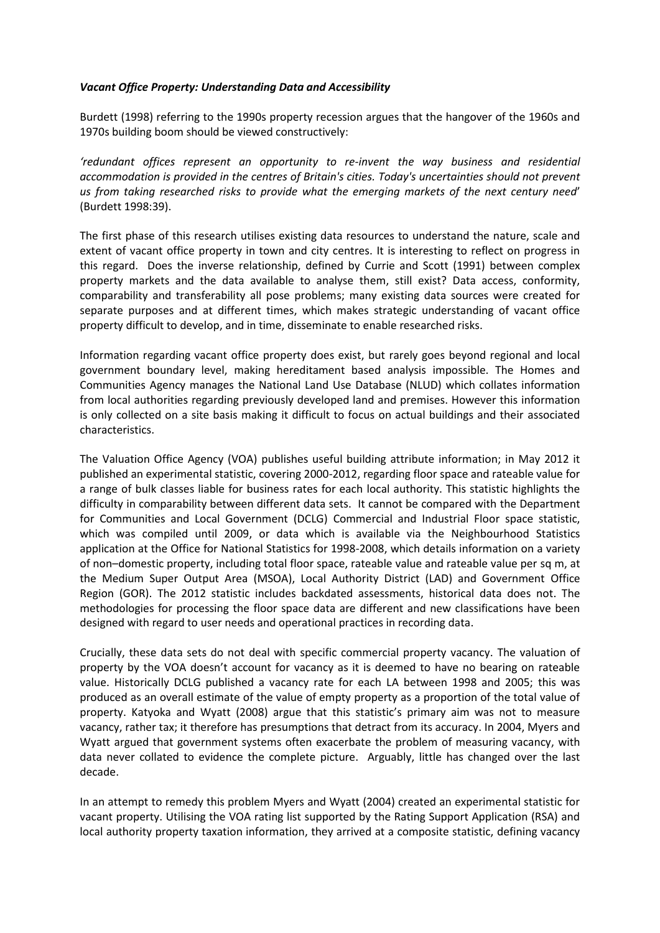#### *Vacant Office Property: Understanding Data and Accessibility*

Burdett (1998) referring to the 1990s property recession argues that the hangover of the 1960s and 1970s building boom should be viewed constructively:

*͚redundant offices represent an opportunity to re-invent the way business and residential accommodation is provided in the centres of Britain's cities. Today's uncertainties should not prevent*  us from taking researched risks to provide what the emerging markets of the next century need' (Burdett 1998:39).

The first phase of this research utilises existing data resources to understand the nature, scale and extent of vacant office property in town and city centres. It is interesting to reflect on progress in this regard. Does the inverse relationship, defined by Currie and Scott (1991) between complex property markets and the data available to analyse them, still exist? Data access, conformity, comparability and transferability all pose problems; many existing data sources were created for separate purposes and at different times, which makes strategic understanding of vacant office property difficult to develop, and in time, disseminate to enable researched risks.

Information regarding vacant office property does exist, but rarely goes beyond regional and local government boundary level, making hereditament based analysis impossible. The Homes and Communities Agency manages the National Land Use Database (NLUD) which collates information from local authorities regarding previously developed land and premises. However this information is only collected on a site basis making it difficult to focus on actual buildings and their associated characteristics.

The Valuation Office Agency (VOA) publishes useful building attribute information; in May 2012 it published an experimental statistic, covering 2000-2012, regarding floor space and rateable value for a range of bulk classes liable for business rates for each local authority. This statistic highlights the difficulty in comparability between different data sets. It cannot be compared with the Department for Communities and Local Government (DCLG) Commercial and Industrial Floor space statistic, which was compiled until 2009, or data which is available via the Neighbourhood Statistics application at the Office for National Statistics for 1998-2008, which details information on a variety of non–domestic property, including total floor space, rateable value and rateable value per sq m, at the Medium Super Output Area (MSOA), Local Authority District (LAD) and Government Office Region (GOR). The 2012 statistic includes backdated assessments, historical data does not. The methodologies for processing the floor space data are different and new classifications have been designed with regard to user needs and operational practices in recording data.

Crucially, these data sets do not deal with specific commercial property vacancy. The valuation of property by the VOA doesn't account for vacancy as it is deemed to have no bearing on rateable value. Historically DCLG published a vacancy rate for each LA between 1998 and 2005; this was produced as an overall estimate of the value of empty property as a proportion of the total value of property. Katyoka and Wyatt (2008) argue that this statistic's primary aim was not to measure vacancy, rather tax; it therefore has presumptions that detract from its accuracy. In 2004, Myers and Wyatt argued that government systems often exacerbate the problem of measuring vacancy, with data never collated to evidence the complete picture. Arguably, little has changed over the last decade.

In an attempt to remedy this problem Myers and Wyatt (2004) created an experimental statistic for vacant property. Utilising the VOA rating list supported by the Rating Support Application (RSA) and local authority property taxation information, they arrived at a composite statistic, defining vacancy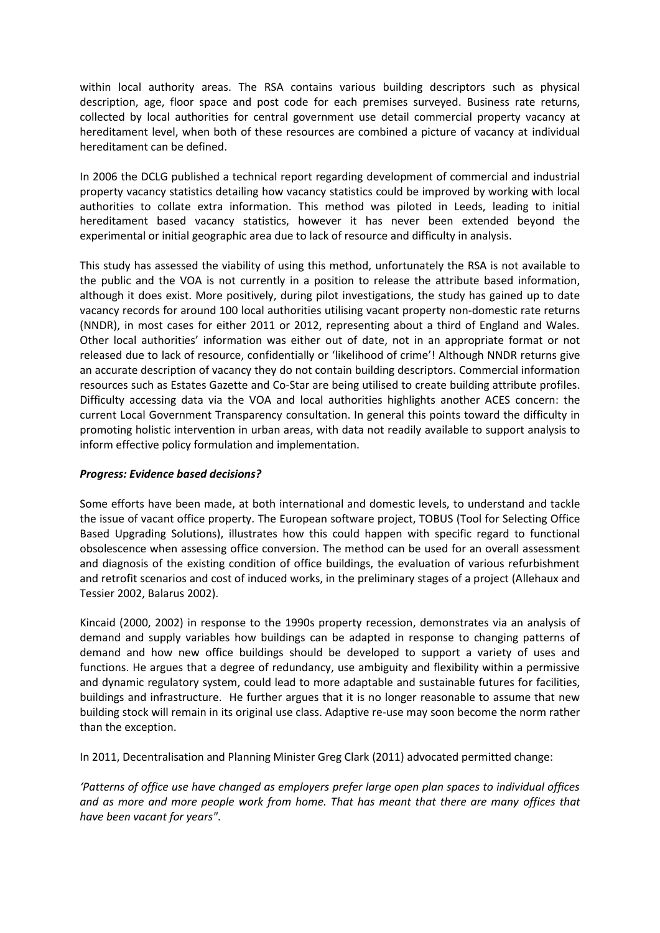within local authority areas. The RSA contains various building descriptors such as physical description, age, floor space and post code for each premises surveyed. Business rate returns, collected by local authorities for central government use detail commercial property vacancy at hereditament level, when both of these resources are combined a picture of vacancy at individual hereditament can be defined.

In 2006 the DCLG published a technical report regarding development of commercial and industrial property vacancy statistics detailing how vacancy statistics could be improved by working with local authorities to collate extra information. This method was piloted in Leeds, leading to initial hereditament based vacancy statistics, however it has never been extended beyond the experimental or initial geographic area due to lack of resource and difficulty in analysis.

This study has assessed the viability of using this method, unfortunately the RSA is not available to the public and the VOA is not currently in a position to release the attribute based information, although it does exist. More positively, during pilot investigations, the study has gained up to date vacancy records for around 100 local authorities utilising vacant property non-domestic rate returns (NNDR), in most cases for either 2011 or 2012, representing about a third of England and Wales. Other local authorities' information was either out of date, not in an appropriate format or not released due to lack of resource, confidentially or 'likelihood of crime'! Although NNDR returns give an accurate description of vacancy they do not contain building descriptors. Commercial information resources such as Estates Gazette and Co-Star are being utilised to create building attribute profiles. Difficulty accessing data via the VOA and local authorities highlights another ACES concern: the current Local Government Transparency consultation. In general this points toward the difficulty in promoting holistic intervention in urban areas, with data not readily available to support analysis to inform effective policy formulation and implementation.

#### *Progress: Evidence based decisions?*

Some efforts have been made, at both international and domestic levels, to understand and tackle the issue of vacant office property. The European software project, TOBUS (Tool for Selecting Office Based Upgrading Solutions), illustrates how this could happen with specific regard to functional obsolescence when assessing office conversion. The method can be used for an overall assessment and diagnosis of the existing condition of office buildings, the evaluation of various refurbishment and retrofit scenarios and cost of induced works, in the preliminary stages of a project (Allehaux and Tessier 2002, Balarus 2002).

Kincaid (2000, 2002) in response to the 1990s property recession, demonstrates via an analysis of demand and supply variables how buildings can be adapted in response to changing patterns of demand and how new office buildings should be developed to support a variety of uses and functions. He argues that a degree of redundancy, use ambiguity and flexibility within a permissive and dynamic regulatory system, could lead to more adaptable and sustainable futures for facilities, buildings and infrastructure. He further argues that it is no longer reasonable to assume that new building stock will remain in its original use class. Adaptive re-use may soon become the norm rather than the exception.

In 2011, Decentralisation and Planning Minister Greg Clark (2011) advocated permitted change:

*͚Patterns of office use have changed as employers prefer large open plan spaces to individual offices and as more and more people work from home. That has meant that there are many offices that have been vacant for years"*.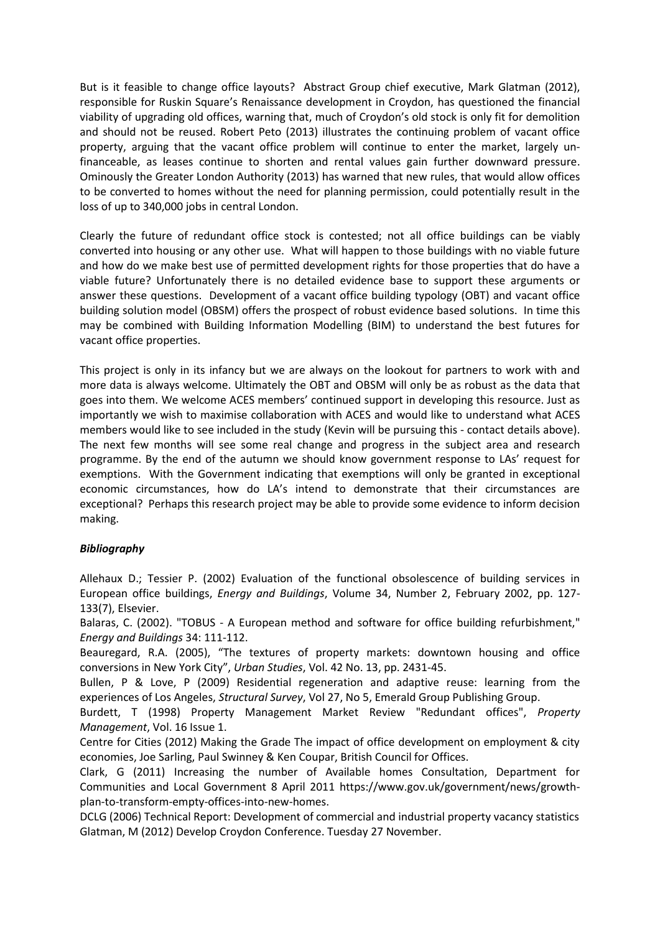But is it feasible to change office layouts? Abstract Group chief executive, Mark Glatman (2012), responsible for Ruskin Square's Renaissance development in Croydon, has questioned the financial viability of upgrading old offices, warning that, much of Croydon's old stock is only fit for demolition and should not be reused. Robert Peto (2013) illustrates the continuing problem of vacant office property, arguing that the vacant office problem will continue to enter the market, largely unfinanceable, as leases continue to shorten and rental values gain further downward pressure. Ominously the Greater London Authority (2013) has warned that new rules, that would allow offices to be converted to homes without the need for planning permission, could potentially result in the loss of up to 340,000 jobs in central London.

Clearly the future of redundant office stock is contested; not all office buildings can be viably converted into housing or any other use. What will happen to those buildings with no viable future and how do we make best use of permitted development rights for those properties that do have a viable future? Unfortunately there is no detailed evidence base to support these arguments or answer these questions. Development of a vacant office building typology (OBT) and vacant office building solution model (OBSM) offers the prospect of robust evidence based solutions. In time this may be combined with Building Information Modelling (BIM) to understand the best futures for vacant office properties.

This project is only in its infancy but we are always on the lookout for partners to work with and more data is always welcome. Ultimately the OBT and OBSM will only be as robust as the data that goes into them. We welcome ACES members' continued support in developing this resource. Just as importantly we wish to maximise collaboration with ACES and would like to understand what ACES members would like to see included in the study (Kevin will be pursuing this - contact details above). The next few months will see some real change and progress in the subject area and research programme. By the end of the autumn we should know government response to LAs͛ request for exemptions. With the Government indicating that exemptions will only be granted in exceptional economic circumstances, how do LA's intend to demonstrate that their circumstances are exceptional? Perhaps this research project may be able to provide some evidence to inform decision making.

## *Bibliography*

Allehaux D.; Tessier P. (2002) Evaluation of the functional obsolescence of building services in European office buildings, *Energy and Buildings*, Volume 34, Number 2, February 2002, pp. 127- 133(7), Elsevier.

Balaras, C. (2002). "TOBUS - A European method and software for office building refurbishment," *Energy and Buildings* 34: 111-112.

Beauregard, R.A. (2005), "The textures of property markets: downtown housing and office conversions in New York City", *Urban Studies*, Vol. 42 No. 13, pp. 2431-45.

Bullen, P & Love, P (2009) Residential regeneration and adaptive reuse: learning from the experiences of Los Angeles, *Structural Survey*, Vol 27, No 5, Emerald Group Publishing Group.

Burdett, T (1998) Property Management Market Review "Redundant offices", *Property Management*, Vol. 16 Issue 1.

Centre for Cities (2012) Making the Grade The impact of office development on employment & city economies, Joe Sarling, Paul Swinney & Ken Coupar, British Council for Offices.

Clark, G (2011) Increasing the number of Available homes Consultation, Department for Communities and Local Government 8 April 2011 https://www.gov.uk/government/news/growthplan-to-transform-empty-offices-into-new-homes.

DCLG (2006) Technical Report: Development of commercial and industrial property vacancy statistics Glatman, M (2012) Develop Croydon Conference. Tuesday 27 November.